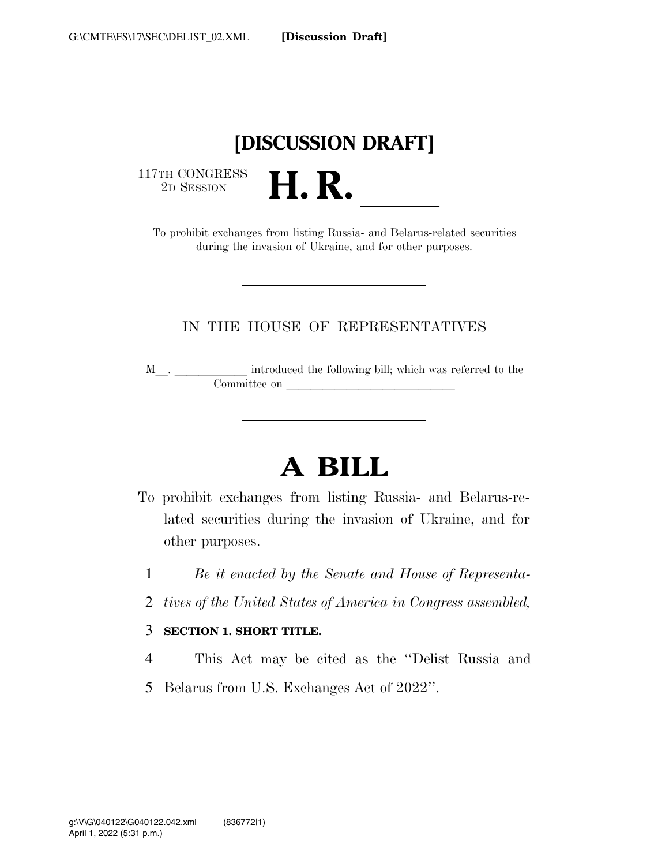## **[DISCUSSION DRAFT]**

 $\begin{array}{c} \text{117TH CONGRESS} \\ \text{2D SESION} \end{array}$ 

TH CONGRESS<br>
2D SESSION<br>
To prohibit exchanges from listing Russia- and Belarus-related securities during the invasion of Ukraine, and for other purposes.

### IN THE HOUSE OF REPRESENTATIVES

M  $\hfill\blacksquare$  <br> . <br> <br> <br> <br> <br> <br> <br> <br> <br> introduced the following bill; which was referred to the Committee on later and later the committee on later and later than  $\sim$ 

# **A BILL**

- To prohibit exchanges from listing Russia- and Belarus-related securities during the invasion of Ukraine, and for other purposes.
	- 1 *Be it enacted by the Senate and House of Representa-*
	- 2 *tives of the United States of America in Congress assembled,*

#### 3 **SECTION 1. SHORT TITLE.**

- 4 This Act may be cited as the ''Delist Russia and
- 5 Belarus from U.S. Exchanges Act of 2022''.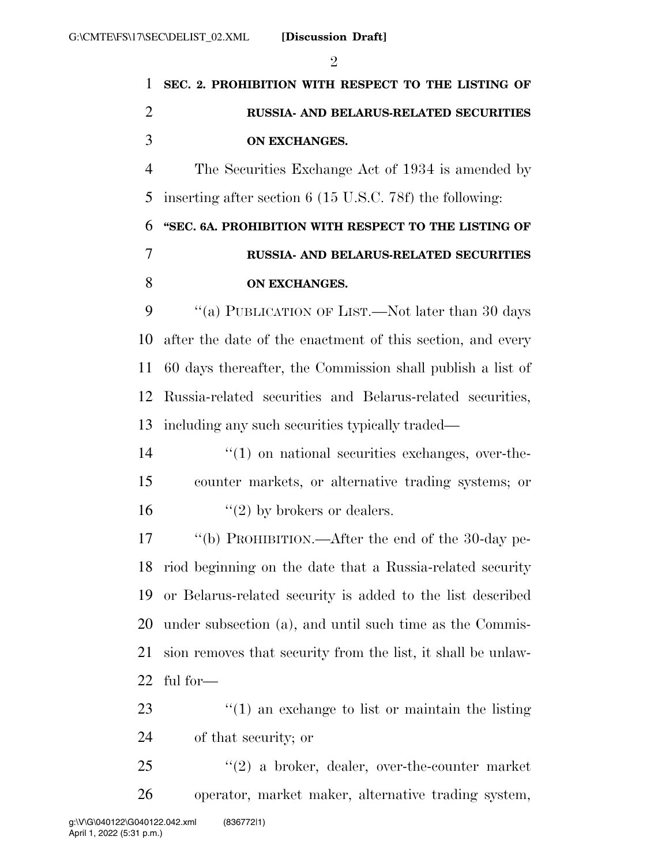$\mathfrak{D}$ 

# **SEC. 2. PROHIBITION WITH RESPECT TO THE LISTING OF RUSSIA- AND BELARUS-RELATED SECURITIES ON EXCHANGES.**

 The Securities Exchange Act of 1934 is amended by inserting after section 6 (15 U.S.C. 78f) the following: **''SEC. 6A. PROHIBITION WITH RESPECT TO THE LISTING OF** 

### **RUSSIA- AND BELARUS-RELATED SECURITIES ON EXCHANGES.**

9 "(a) PUBLICATION OF LIST.—Not later than 30 days after the date of the enactment of this section, and every 60 days thereafter, the Commission shall publish a list of Russia-related securities and Belarus-related securities, including any such securities typically traded—

14  $\frac{1}{2}$  (1) on national securities exchanges, over-the- counter markets, or alternative trading systems; or 16  $\frac{16}{2}$  by brokers or dealers.

 ''(b) PROHIBITION.—After the end of the 30-day pe- riod beginning on the date that a Russia-related security or Belarus-related security is added to the list described under subsection (a), and until such time as the Commis- sion removes that security from the list, it shall be unlaw-ful for—

23 ''(1) an exchange to list or maintain the listing of that security; or

 ''(2) a broker, dealer, over-the-counter market operator, market maker, alternative trading system,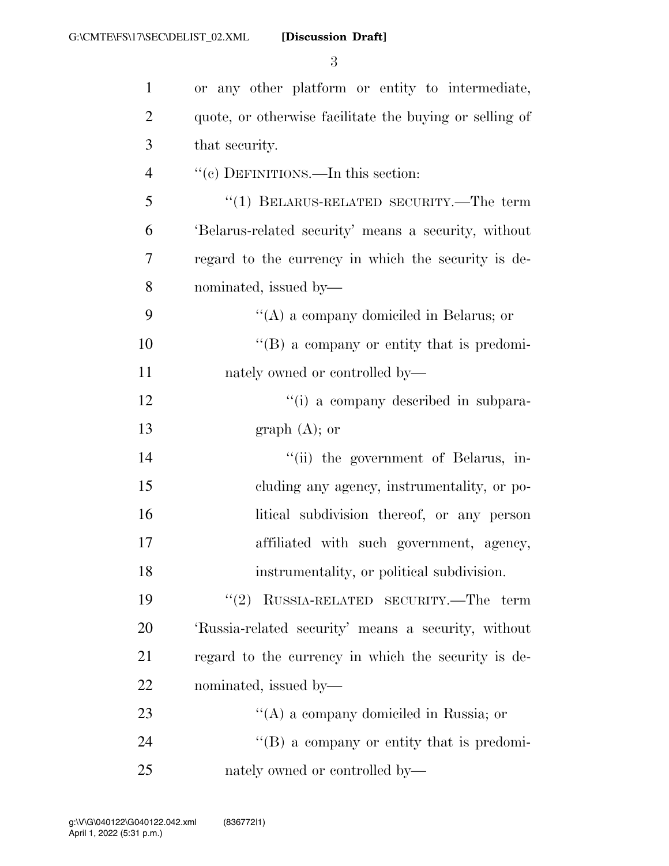| $\mathbf{1}$   | or any other platform or entity to intermediate,        |
|----------------|---------------------------------------------------------|
| $\overline{2}$ | quote, or otherwise facilitate the buying or selling of |
| 3              | that security.                                          |
| $\overline{4}$ | "(c) DEFINITIONS.—In this section:                      |
| 5              | $``(1)$ BELARUS-RELATED SECURITY.—The term              |
| 6              | 'Belarus-related security' means a security, without    |
| 7              | regard to the currency in which the security is de-     |
| 8              | nominated, issued by—                                   |
| 9              | "(A) a company domiciled in Belarus; or                 |
| 10             | $\lq\lq (B)$ a company or entity that is predomi-       |
| 11             | nately owned or controlled by—                          |
| 12             | "(i) a company described in subpara-                    |
| 13             | graph $(A)$ ; or                                        |
| 14             | "(ii) the government of Belarus, in-                    |
| 15             | cluding any agency, instrumentality, or po-             |
| 16             | litical subdivision thereof, or any person              |
| 17             | affiliated with such government, agency,                |
| 18             | instrumentality, or political subdivision.              |
| 19             | RUSSIA-RELATED SECURITY.—The term<br>(2)                |
| 20             | 'Russia-related security' means a security, without     |
| 21             | regard to the currency in which the security is de-     |
| 22             | nominated, issued by—                                   |
| 23             | "(A) a company domiciled in Russia; or                  |
| 24             | $\lq\lq (B)$ a company or entity that is predomi-       |
| 25             | nately owned or controlled by—                          |